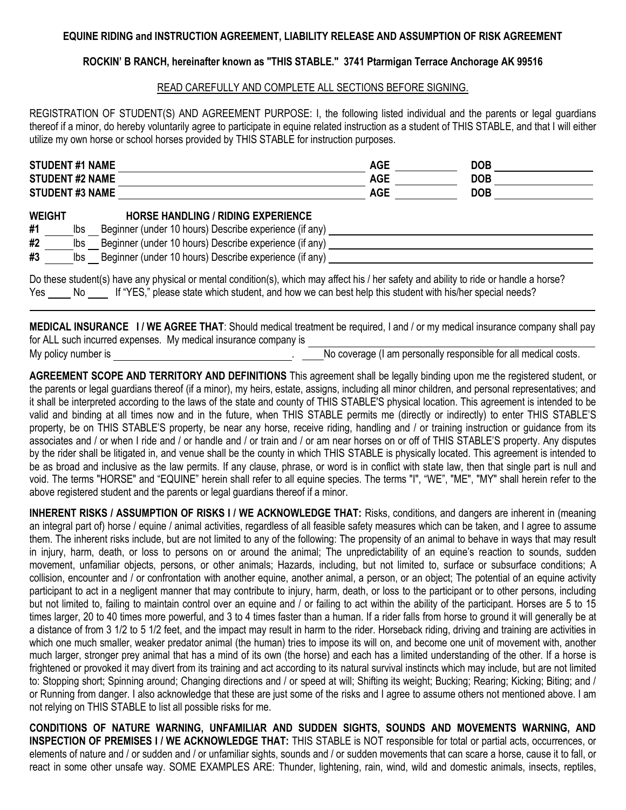## **EQUINE RIDING and INSTRUCTION AGREEMENT, LIABILITY RELEASE AND ASSUMPTION OF RISK AGREEMENT**

## **ROCKIN' B RANCH, hereinafter known as "THIS STABLE." 3741 Ptarmigan Terrace Anchorage AK 99516**

## READ CAREFULLY AND COMPLETE ALL SECTIONS BEFORE SIGNING.

REGISTRATION OF STUDENT(S) AND AGREEMENT PURPOSE: I, the following listed individual and the parents or legal guardians thereof if a minor, do hereby voluntarily agree to participate in equine related instruction as a student of THIS STABLE, and that I will either utilize my own horse or school horses provided by THIS STABLE for instruction purposes.

| <b>STUDENT #1 NAME</b>          |                   |                                                                                                                                                                                                                         | <b>AGE</b> | <b>DOB</b> |  |
|---------------------------------|-------------------|-------------------------------------------------------------------------------------------------------------------------------------------------------------------------------------------------------------------------|------------|------------|--|
| <b>STUDENT #2 NAME</b>          |                   |                                                                                                                                                                                                                         | <b>AGE</b> | <b>DOB</b> |  |
| <b>STUDENT #3 NAME</b>          |                   |                                                                                                                                                                                                                         | <b>AGE</b> | <b>DOB</b> |  |
| <b>WEIGHT</b><br>#1<br>#2<br>#3 | lbs<br>lbs<br>lbs | <b>HORSE HANDLING / RIDING EXPERIENCE</b><br>Beginner (under 10 hours) Describe experience (if any)<br>Beginner (under 10 hours) Describe experience (if any)<br>Beginner (under 10 hours) Describe experience (if any) |            |            |  |

Do these student(s) have any physical or mental condition(s), which may affect his / her safety and ability to ride or handle a horse? Yes No If "YES," please state which student, and how we can best help this student with his/her special needs?

**MEDICAL INSURANCE I / WE AGREE THAT**: Should medical treatment be required, I and / or my medical insurance company shall pay for ALL such incurred expenses. My medical insurance company is My policy number is **No coverage (I am personally responsible for all medical costs.** No coverage (I am personally responsible for all medical costs.

**AGREEMENT SCOPE AND TERRITORY AND DEFINITIONS** This agreement shall be legally binding upon me the registered student, or the parents or legal guardians thereof (if a minor), my heirs, estate, assigns, including all minor children, and personal representatives; and it shall be interpreted according to the laws of the state and county of THIS STABLE'S physical location. This agreement is intended to be valid and binding at all times now and in the future, when THIS STABLE permits me (directly or indirectly) to enter THIS STABLE'S

property, be on THIS STABLE'S property, be near any horse, receive riding, handling and / or training instruction or guidance from its associates and / or when I ride and / or handle and / or train and / or am near horses on or off of THIS STABLE'S property. Any disputes by the rider shall be litigated in, and venue shall be the county in which THIS STABLE is physically located. This agreement is intended to be as broad and inclusive as the law permits. If any clause, phrase, or word is in conflict with state law, then that single part is null and void. The terms "HORSE" and "EQUINE" herein shall refer to all equine species. The terms "I", "WE", "ME", "MY" shall herein refer to the above registered student and the parents or legal guardians thereof if a minor.

**INHERENT RISKS / ASSUMPTION OF RISKS I / WE ACKNOWLEDGE THAT:** Risks, conditions, and dangers are inherent in (meaning an integral part of) horse / equine / animal activities, regardless of all feasible safety measures which can be taken, and I agree to assume them. The inherent risks include, but are not limited to any of the following: The propensity of an animal to behave in ways that may result in injury, harm, death, or loss to persons on or around the animal; The unpredictability of an equine's reaction to sounds, sudden movement, unfamiliar objects, persons, or other animals; Hazards, including, but not limited to, surface or subsurface conditions; A collision, encounter and / or confrontation with another equine, another animal, a person, or an object; The potential of an equine activity participant to act in a negligent manner that may contribute to injury, harm, death, or loss to the participant or to other persons, including but not limited to, failing to maintain control over an equine and / or failing to act within the ability of the participant. Horses are 5 to 15 times larger, 20 to 40 times more powerful, and 3 to 4 times faster than a human. If a rider falls from horse to ground it will generally be at a distance of from 3 1/2 to 5 1/2 feet, and the impact may result in harm to the rider. Horseback riding, driving and training are activities in which one much smaller, weaker predator animal (the human) tries to impose its will on, and become one unit of movement with, another much larger, stronger prey animal that has a mind of its own (the horse) and each has a limited understanding of the other. If a horse is frightened or provoked it may divert from its training and act according to its natural survival instincts which may include, but are not limited to: Stopping short; Spinning around; Changing directions and / or speed at will; Shifting its weight; Bucking; Rearing; Kicking; Biting; and / or Running from danger. I also acknowledge that these are just some of the risks and I agree to assume others not mentioned above. I am not relying on THIS STABLE to list all possible risks for me.

**CONDITIONS OF NATURE WARNING, UNFAMILIAR AND SUDDEN SIGHTS, SOUNDS AND MOVEMENTS WARNING, AND INSPECTION OF PREMISES I / WE ACKNOWLEDGE THAT:** THIS STABLE is NOT responsible for total or partial acts, occurrences, or elements of nature and / or sudden and / or unfamiliar sights, sounds and / or sudden movements that can scare a horse, cause it to fall, or react in some other unsafe way. SOME EXAMPLES ARE: Thunder, lightening, rain, wind, wild and domestic animals, insects, reptiles,